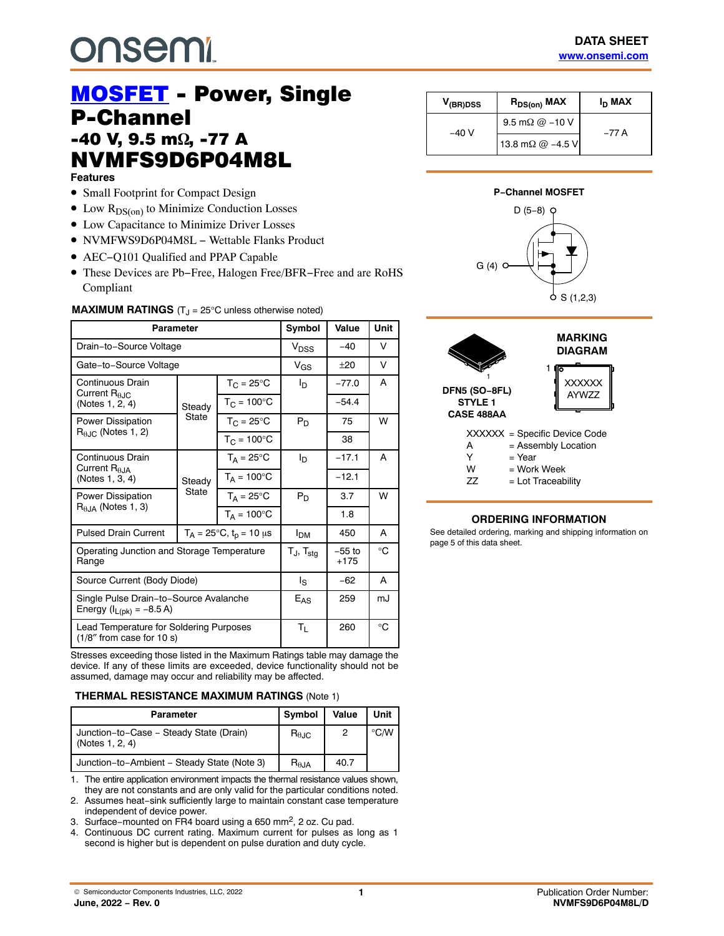# **onsem!**

## **MOSFET** - Power, Single<br>P-Channel **-40 V, 9.5 m** $\Omega$ <br>NVMESQD NVMFS9D6P04M8L Features

- Small Footprint for Compact Design
- $\bullet$  Low  $R_{DS(0n)}$  to Minimize Conduction Losses
- Low Capacitance to Minimize Driver Losses
- NVMFWS9D6P04M8L − Wettable Flanks Product
- AEC−Q101 Qualified and PPAP Capable
- These Devices are Pb−Free, Halogen Free/BFR−Free and are RoHS Compliant

#### **MAXIMUM RATINGS** (T<sub>J</sub> = 25°C unless otherwise noted)

| Parameter                                                                 |                 |                                        | Symbol                   | Value              | Unit         |
|---------------------------------------------------------------------------|-----------------|----------------------------------------|--------------------------|--------------------|--------------|
| Drain-to-Source Voltage                                                   |                 |                                        | V <sub>DSS</sub>         | $-40$              | v            |
| Gate-to-Source Voltage                                                    |                 |                                        | $V_{GS}$                 | $+20$              | v            |
| Continuous Drain                                                          | Steady          | $T_C = 25^{\circ}C$                    | ΙD                       | $-77.0$            | A            |
| Current $R_{0,IC}$<br>(Notes 1, 2, 4)                                     |                 | $T_{C}$ = 100 $^{\circ}$ C             |                          | $-54.4$            |              |
| Power Dissipation                                                         | State           | $T_C = 25^{\circ}C$                    | $P_D$                    | 75                 | w            |
| $R_{\theta,IC}$ (Notes 1, 2)                                              |                 | $T_{C} = 100^{\circ}C$                 |                          | 38                 |              |
| Continuous Drain                                                          | Steady<br>State | $T_A = 25^{\circ}C$                    | I <sub>D</sub>           | $-17.1$            | A            |
| Current $R_{\theta JA}$<br>(Notes 1, 3, 4)                                |                 | $T_A = 100^{\circ}C$                   |                          | $-12.1$            |              |
| <b>Power Dissipation</b>                                                  |                 | $T_A = 25^{\circ}C$                    | $P_D$                    | 3.7                | W            |
| $R0.1A$ (Notes 1, 3)                                                      |                 | $T_A = 100^{\circ}$ C                  |                          | 1.8                |              |
| <b>Pulsed Drain Current</b>                                               |                 | $T_A = 25^{\circ}C$ , $t_p = 10 \mu s$ | Ірм                      | 450                | A            |
| Operating Junction and Storage Temperature<br>Range                       |                 |                                        | $T_J$ , $T_{\text{stg}}$ | $-55$ to<br>$+175$ | °C           |
| Source Current (Body Diode)                                               |                 |                                        | ls                       | -62                | A            |
| Single Pulse Drain-to-Source Avalanche<br>Energy ( $I_{L(pk)} = -8.5 A$ ) |                 |                                        | $E_{AS}$                 | 259                | mJ           |
| Lead Temperature for Soldering Purposes<br>(1/8" from case for 10 s)      |                 |                                        | $T_L$                    | 260                | $^{\circ}$ C |

Stresses exceeding those listed in the Maximum Ratings table may damage the device. If any of these limits are exceeded, device functionality should not be assumed, damage may occur and reliability may be affected.

#### **THERMAL RESISTANCE MAXIMUM RATINGS** (Note 1)

| <b>Parameter</b>                                           | Symbol                 | Value | Unit          |
|------------------------------------------------------------|------------------------|-------|---------------|
| Junction-to-Case - Steady State (Drain)<br>(Notes 1, 2, 4) | $R_{\theta \text{JC}}$ | 2     | $\degree$ C/W |
| Junction-to-Ambient - Steady State (Note 3)                | $R_{\theta,JA}$        | 40.7  |               |

1. The entire application environment impacts the thermal resistance values shown, they are not constants and are only valid for the particular conditions noted.

- 2. Assumes heat−sink sufficiently large to maintain constant case temperature independent of device power.
- 3. Surface−mounted on FR4 board using a 650 mm2, 2 oz. Cu pad.
- 4. Continuous DC current rating. Maximum current for pulses as long as 1 second is higher but is dependent on pulse duration and duty cycle.

| V <sub>(BR)DSS</sub> | $R_{DS(on)}$ MAX         | I <sub>D</sub> MAX |  |
|----------------------|--------------------------|--------------------|--|
| $-40V$               | 9.5 m $\Omega$ @ -10 V   | –77 A              |  |
|                      | 13.8 m $\Omega$ @ -4.5 V |                    |  |

#### **P−Channel MOSFET**





#### **ORDERING INFORMATION**

See detailed ordering, marking and shipping information on page [5](#page-4-0) of this data sheet.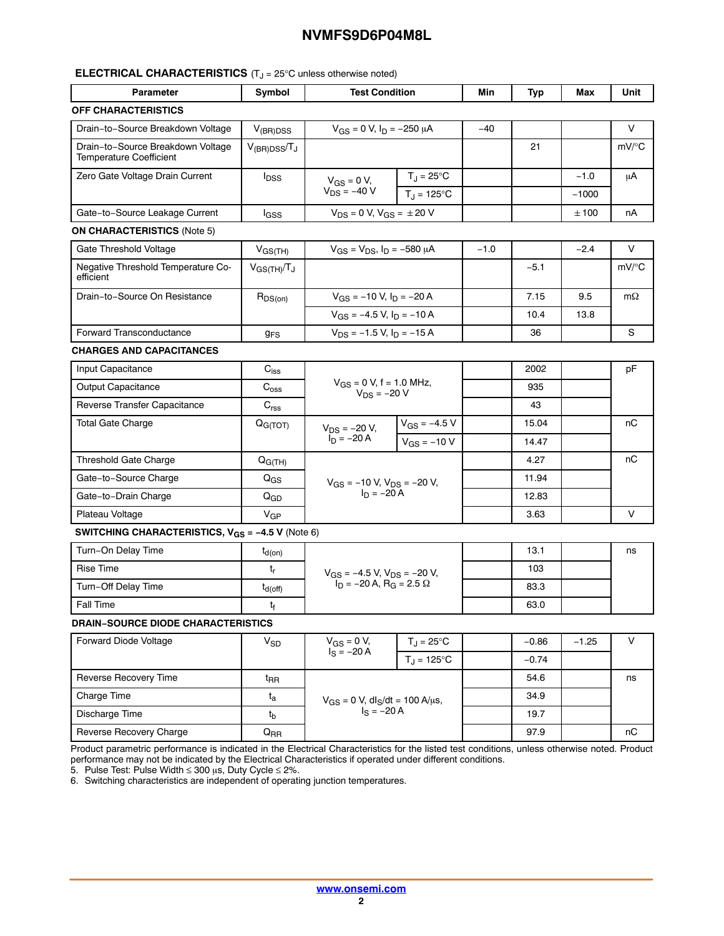#### **ELECTRICAL CHARACTERISTICS** (T<sub>J</sub> = 25°C unless otherwise noted)

| <b>Parameter</b>                                                        | Symbol                      | <b>Test Condition</b>                                                |                        | Min    | Typ     | Max     | Unit      |
|-------------------------------------------------------------------------|-----------------------------|----------------------------------------------------------------------|------------------------|--------|---------|---------|-----------|
| <b>OFF CHARACTERISTICS</b>                                              |                             |                                                                      |                        |        |         |         |           |
| Drain-to-Source Breakdown Voltage                                       | $V_{(BR)DSS}$               | $V_{GS}$ = 0 V, $I_D$ = -250 $\mu$ A                                 |                        | $-40$  |         |         | V         |
| Drain-to-Source Breakdown Voltage<br><b>Temperature Coefficient</b>     | $V_{(BR)DSS}/T_J$           |                                                                      |                        |        | 21      |         | mV/°C     |
| Zero Gate Voltage Drain Current                                         | $I_{DSS}$                   | $V_{GS} = 0 V$ ,                                                     | $T_J = 25^{\circ}C$    |        |         | $-1.0$  | μA        |
|                                                                         |                             | $V_{DS} = -40 V$                                                     | $T_{J} = 125^{\circ}C$ |        |         | $-1000$ |           |
| Gate-to-Source Leakage Current                                          | l <sub>GSS</sub>            | $V_{DS} = 0 V$ , $V_{GS} = \pm 20 V$                                 |                        |        |         | ±100    | nA        |
| <b>ON CHARACTERISTICS (Note 5)</b>                                      |                             |                                                                      |                        |        |         |         |           |
| Gate Threshold Voltage                                                  | $V_{GS(TH)}$                | $V_{GS} = V_{DS}$ , $I_D = -580 \mu A$                               |                        | $-1.0$ |         | $-2.4$  | V         |
| Negative Threshold Temperature Co-<br>efficient                         | $V_{GS(TH)}/T_J$            |                                                                      |                        |        | $-5.1$  |         | mV/°C     |
| Drain-to-Source On Resistance                                           | $R_{DS(on)}$                | $V_{GS}$ = -10 V, $I_D$ = -20 A                                      |                        |        | 7.15    | 9.5     | $m\Omega$ |
|                                                                         |                             | $V_{GS}$ = -4.5 V, $I_D$ = -10 A                                     |                        |        | 10.4    | 13.8    |           |
| <b>Forward Transconductance</b>                                         | 9 <sub>FS</sub>             | $V_{DS}$ = -1.5 V, $I_D$ = -15 A                                     |                        |        | 36      |         | S         |
| <b>CHARGES AND CAPACITANCES</b>                                         |                             |                                                                      |                        |        |         |         |           |
| Input Capacitance                                                       | $\mathbf{C}_{\mathsf{iss}}$ | $V_{GS} = 0 V$ , f = 1.0 MHz,<br>$V_{DS} = -20 V$                    |                        |        | 2002    |         | pF        |
| <b>Output Capacitance</b>                                               | $\mathrm{C_{oss}}$          |                                                                      |                        |        | 935     |         |           |
| Reverse Transfer Capacitance                                            | $C_{rss}$                   |                                                                      |                        |        | 43      |         |           |
| <b>Total Gate Charge</b>                                                | Q <sub>G(TOT)</sub>         | $V_{DS} = -20 V,$                                                    | $V_{GS} = -4.5 V$      |        | 15.04   |         | nС        |
|                                                                         |                             | $I_D = -20 A$<br>$V_{GS} = -10 V$                                    |                        |        | 14.47   |         |           |
| Threshold Gate Charge                                                   | $Q_{G(TH)}$                 |                                                                      |                        |        | 4.27    |         | nС        |
| Gate-to-Source Charge                                                   | $Q_{GS}$                    |                                                                      |                        |        | 11.94   |         |           |
| Gate-to-Drain Charge                                                    | $Q_{GD}$                    | $V_{GS} = -10 V, V_{DS} = -20 V,$<br>$I_D = -20 A$                   |                        |        | 12.83   |         |           |
| Plateau Voltage                                                         | $V_{GP}$                    |                                                                      |                        |        | 3.63    |         | V         |
| <b>SWITCHING CHARACTERISTICS, <math>V_{GS} = -4.5 V</math> (Note 6)</b> |                             |                                                                      |                        |        |         |         |           |
| Turn-On Delay Time                                                      | $t_{d(on)}$                 |                                                                      |                        |        | 13.1    |         | ns        |
| Rise Time                                                               | $t_{r}$                     | $V_{GS}$ = -4.5 V, $V_{DS}$ = -20 V,                                 |                        |        | 103     |         |           |
| Turn-Off Delay Time                                                     | $t_{d(\text{off})}$         | $I_D = -20 A$ , R <sub>G</sub> = 2.5 $\Omega$                        |                        |        | 83.3    |         |           |
| Fall Time                                                               | tf                          |                                                                      |                        |        | 63.0    |         |           |
| <b>DRAIN-SOURCE DIODE CHARACTERISTICS</b>                               |                             |                                                                      |                        |        |         |         |           |
| Forward Diode Voltage                                                   | $V_{SD}$                    | $V_{GS} = 0 V$ ,<br>$T_J = 25$ °C<br>$I_S = -20 A$<br>$T_J = 125$ °C |                        |        | $-0.86$ | $-1.25$ | $\sf V$   |
|                                                                         |                             |                                                                      |                        |        | $-0.74$ |         |           |
| Reverse Recovery Time                                                   | $t_{\sf RR}$                | $V_{GS} = 0$ V, dl <sub>S</sub> /dt = 100 A/µs,                      |                        |        | 54.6    |         | ns        |
| Charge Time                                                             | $t_{\rm a}$                 |                                                                      |                        |        | 34.9    |         |           |
| Discharge Time                                                          | $t_{\sf b}$                 | $I_S = -20 A$                                                        |                        |        | 19.7    |         |           |
| Reverse Recovery Charge                                                 | $Q_{RR}$                    |                                                                      |                        |        | 97.9    |         | пC        |

Product parametric performance is indicated in the Electrical Characteristics for the listed test conditions, unless otherwise noted. Product performance may not be indicated by the Electrical Characteristics if operated under different conditions.

5. Pulse Test: Pulse Width  $\leq$  300  $\mu$ s, Duty Cycle  $\leq$  2%.

6. Switching characteristics are independent of operating junction temperatures.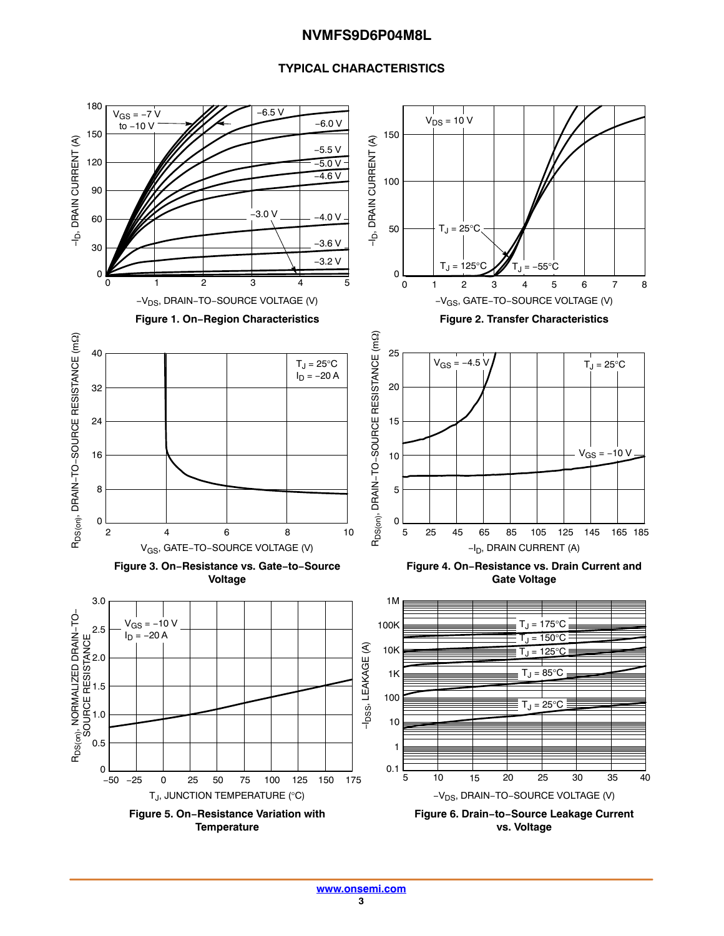#### **TYPICAL CHARACTERISTICS**

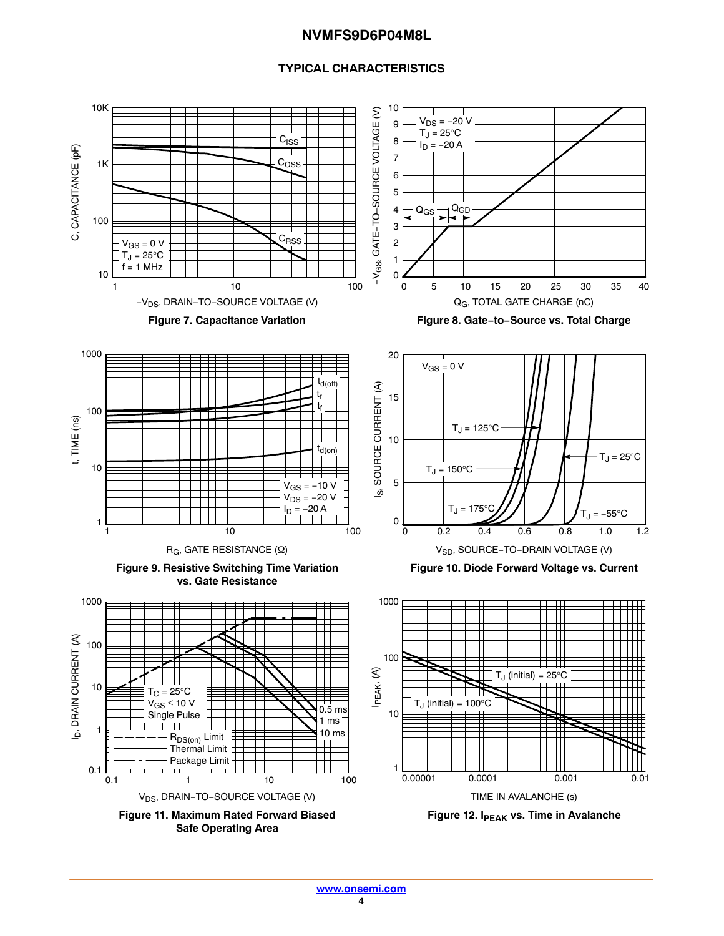#### **TYPICAL CHARACTERISTICS**

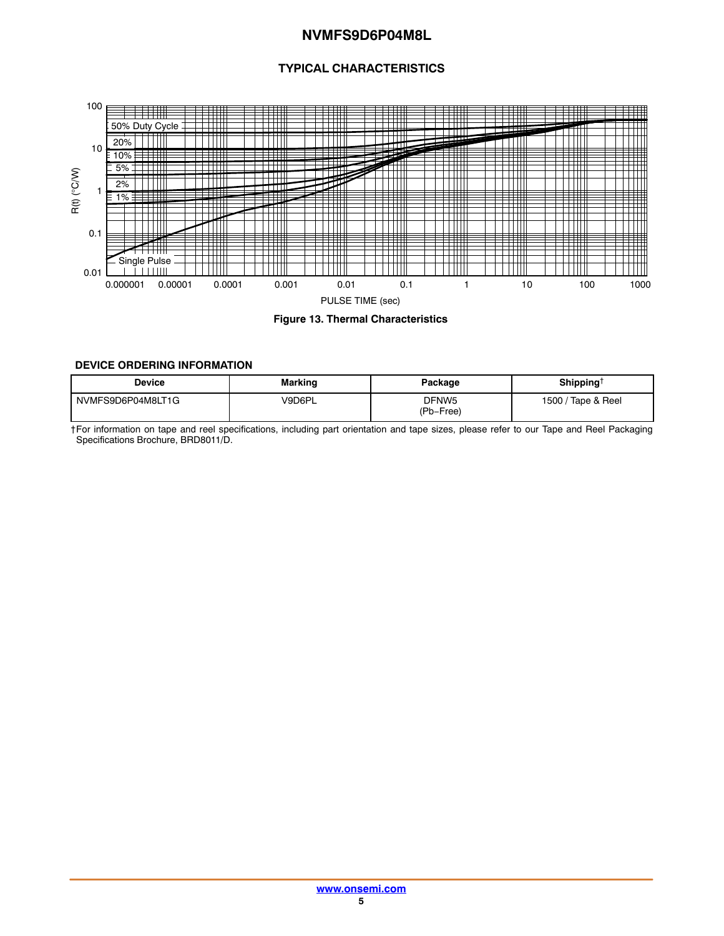#### **TYPICAL CHARACTERISTICS**

<span id="page-4-0"></span>

**Figure 13. Thermal Characteristics**

#### **DEVICE ORDERING INFORMATION**

| Device            | <b>Marking</b> | Package                        | Shipping <sup>†</sup> |
|-------------------|----------------|--------------------------------|-----------------------|
| NVMFS9D6P04M8LT1G | V9D6PL         | DFNW <sub>5</sub><br>(Pb-Free) | Tape & Reel<br>1500/  |

†For information on tape and reel specifications, including part orientation and tape sizes, please refer to our Tape and Reel Packaging Specifications Brochure, BRD8011/D.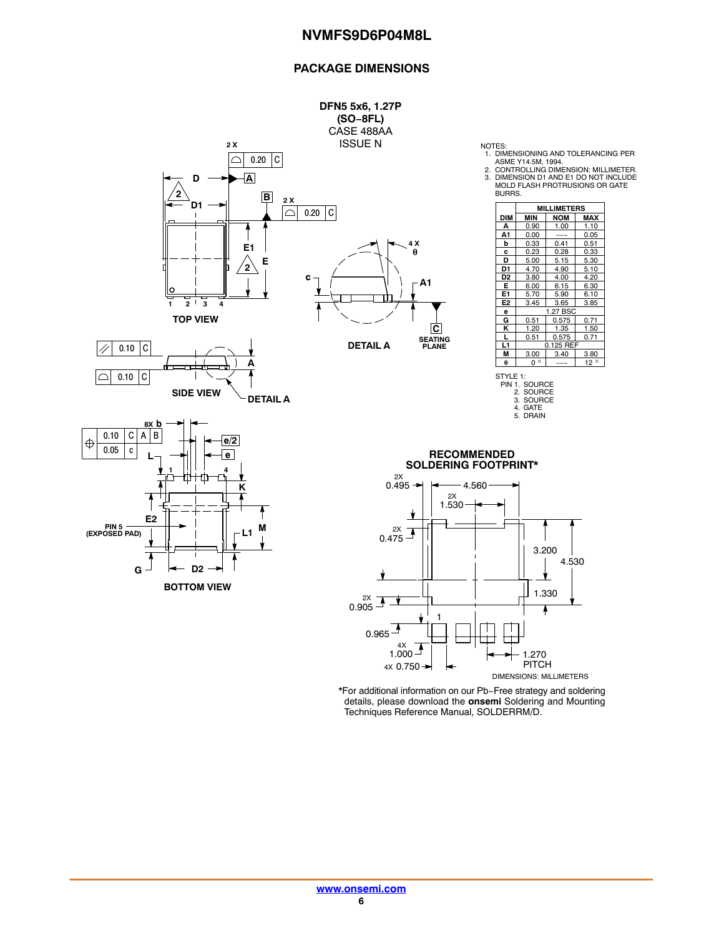#### **PACKAGE DIMENSIONS**



1. DIMENSIONING AND TOLERANCING PER ASME Y14.5M, 1994. 2. CONTROLLING DIMENSION: MILLIMETER.

3. DIMENSION D1 AND E1 DO NOT INCLUDE MOLD FLASH PROTRUSIONS OR GATE

|                | <b>MILLIMETERS</b> |            |              |  |
|----------------|--------------------|------------|--------------|--|
| <b>DIM</b>     | <b>MIN</b>         | <b>NOM</b> | MAX          |  |
| А              | 0.90               | 1.00       | 1.10         |  |
| A1             | 0.00               |            | 0.05         |  |
| b              | 0.33               | 0.41       | 0.51         |  |
| c              | 0.23               | 0.28       | 0.33         |  |
| D              | 5.00               | 5.15       | 5.30         |  |
| D1             | 4.70               | 4.90       | 5.10         |  |
| D <sub>2</sub> | 3.80               | 4.00       | 4.20         |  |
| Е              | 6.00               | 6.15       | 6.30         |  |
| E1             | 5.70               | 5.90       | 6.10         |  |
| E <sub>2</sub> | 3.45               | 3.65       | 3.85         |  |
| е              | 1.27 BSC           |            |              |  |
| G              | 0.51               | 0.575      | 0.71         |  |
| κ              | 1.20               | 1.35       | 1.50         |  |
| L              | 0.51               | 0.575      | 0.71         |  |
| L1             | 0.125 REF          |            |              |  |
| М              | 3.00               | 3.40       | 3.80         |  |
| θ              | $0^{\circ}$        |            | $12^{\circ}$ |  |



\*For additional information on our Pb−Free strategy and soldering details, please download the **onsemi** Soldering and Mounting Techniques Reference Manual, SOLDERRM/D.